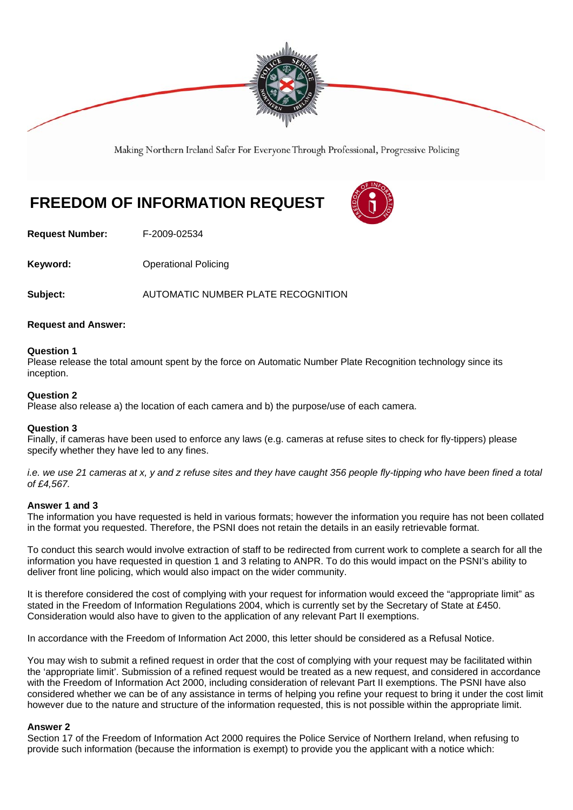

Making Northern Ireland Safer For Everyone Through Professional, Progressive Policing

# **FREEDOM OF INFORMATION REQUEST**

**Request Number:** F-2009-02534

**Keyword: C**Derational Policing

**Subject:** AUTOMATIC NUMBER PLATE RECOGNITION

#### **Request and Answer:**

#### **Question 1**

Please release the total amount spent by the force on Automatic Number Plate Recognition technology since its inception.

# **Question 2**

Please also release a) the location of each camera and b) the purpose/use of each camera.

# **Question 3**

Finally, if cameras have been used to enforce any laws (e.g. cameras at refuse sites to check for fly-tippers) please specify whether they have led to any fines.

*i.e. we use 21 cameras at x, y and z refuse sites and they have caught 356 people fly-tipping who have been fined a total of £4,567.* 

# **Answer 1 and 3**

The information you have requested is held in various formats; however the information you require has not been collated in the format you requested. Therefore, the PSNI does not retain the details in an easily retrievable format.

To conduct this search would involve extraction of staff to be redirected from current work to complete a search for all the information you have requested in question 1 and 3 relating to ANPR. To do this would impact on the PSNI's ability to deliver front line policing, which would also impact on the wider community.

It is therefore considered the cost of complying with your request for information would exceed the "appropriate limit" as stated in the Freedom of Information Regulations 2004, which is currently set by the Secretary of State at £450. Consideration would also have to given to the application of any relevant Part II exemptions.

In accordance with the Freedom of Information Act 2000, this letter should be considered as a Refusal Notice.

You may wish to submit a refined request in order that the cost of complying with your request may be facilitated within the 'appropriate limit'. Submission of a refined request would be treated as a new request, and considered in accordance with the Freedom of Information Act 2000, including consideration of relevant Part II exemptions. The PSNI have also considered whether we can be of any assistance in terms of helping you refine your request to bring it under the cost limit however due to the nature and structure of the information requested, this is not possible within the appropriate limit.

#### **Answer 2**

Section 17 of the Freedom of Information Act 2000 requires the Police Service of Northern Ireland, when refusing to provide such information (because the information is exempt) to provide you the applicant with a notice which: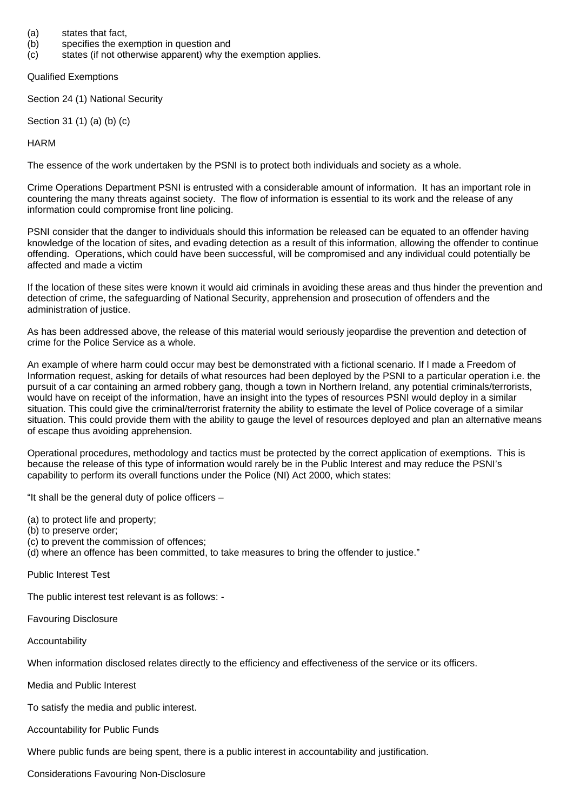- (a) states that fact,
- (b) specifies the exemption in question and
- (c) states (if not otherwise apparent) why the exemption applies.

Qualified Exemptions

Section 24 (1) National Security

Section 31 (1) (a) (b) (c)

HARM

The essence of the work undertaken by the PSNI is to protect both individuals and society as a whole.

Crime Operations Department PSNI is entrusted with a considerable amount of information. It has an important role in countering the many threats against society. The flow of information is essential to its work and the release of any information could compromise front line policing.

PSNI consider that the danger to individuals should this information be released can be equated to an offender having knowledge of the location of sites, and evading detection as a result of this information, allowing the offender to continue offending. Operations, which could have been successful, will be compromised and any individual could potentially be affected and made a victim

If the location of these sites were known it would aid criminals in avoiding these areas and thus hinder the prevention and detection of crime, the safeguarding of National Security, apprehension and prosecution of offenders and the administration of justice.

As has been addressed above, the release of this material would seriously jeopardise the prevention and detection of crime for the Police Service as a whole.

An example of where harm could occur may best be demonstrated with a fictional scenario. If I made a Freedom of Information request, asking for details of what resources had been deployed by the PSNI to a particular operation i.e. the pursuit of a car containing an armed robbery gang, though a town in Northern Ireland, any potential criminals/terrorists, would have on receipt of the information, have an insight into the types of resources PSNI would deploy in a similar situation. This could give the criminal/terrorist fraternity the ability to estimate the level of Police coverage of a similar situation. This could provide them with the ability to gauge the level of resources deployed and plan an alternative means of escape thus avoiding apprehension.

Operational procedures, methodology and tactics must be protected by the correct application of exemptions. This is because the release of this type of information would rarely be in the Public Interest and may reduce the PSNI's capability to perform its overall functions under the Police (NI) Act 2000, which states:

"It shall be the general duty of police officers –

(a) to protect life and property;

- (b) to preserve order;
- (c) to prevent the commission of offences;
- (d) where an offence has been committed, to take measures to bring the offender to justice."

Public Interest Test

The public interest test relevant is as follows: -

Favouring Disclosure

Accountability

When information disclosed relates directly to the efficiency and effectiveness of the service or its officers.

Media and Public Interest

To satisfy the media and public interest.

Accountability for Public Funds

Where public funds are being spent, there is a public interest in accountability and justification.

Considerations Favouring Non-Disclosure